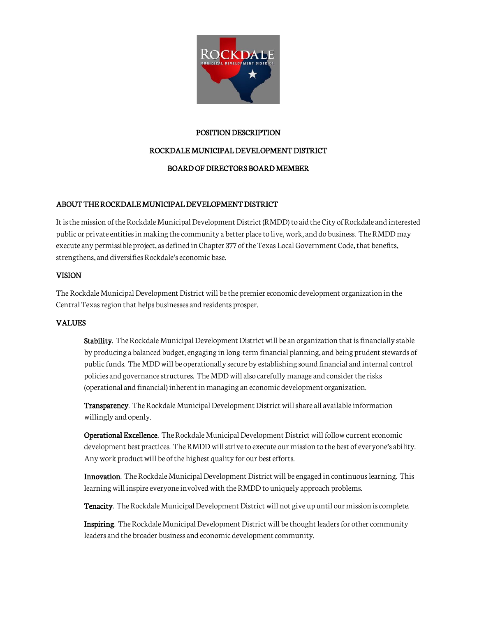

### POSITION DESCRIPTION

## ROCKDALE MUNICIPAL DEVELOPMENT DISTRICT

## BOARD OF DIRECTORS BOARD MEMBER

## ABOUT THE ROCKDALE MUNICIPAL DEVELOPMENT DISTRICT

It is the mission of the Rockdale Municipal Development District (RMDD) to aid the City of Rockdale and interested public or private entities in making the community a better place to live, work, and do business. The RMDD may execute any permissible project, as defined in Chapter 377 of the Texas Local Government Code, that benefits, strengthens, and diversifies Rockdale's economic base.

### VISION

The Rockdale Municipal Development District will be the premier economic development organization in the Central Texas region that helps businesses and residents prosper.

### VALUES

Stability. The Rockdale Municipal Development District will be an organization that is financially stable by producing a balanced budget, engaging in long-term financial planning, and being prudent stewards of public funds. The MDD will be operationally secure by establishing sound financial and internal control policies and governance structures. The MDD will also carefully manage and consider the risks (operational and financial) inherent in managing an economic development organization.

Transparency. The Rockdale Municipal Development District will share all available information willingly and openly.

Operational Excellence. The Rockdale Municipal Development District will follow current economic development best practices. The RMDD will strive to execute our mission to the best of everyone's ability. Any work product will be of the highest quality for our best efforts.

Innovation. The Rockdale Municipal Development District will be engaged in continuous learning. This learning will inspire everyone involved with the RMDD to uniquely approach problems.

Tenacity. The Rockdale Municipal Development District will not give up until our mission is complete.

Inspiring. The Rockdale Municipal Development District will be thought leaders for other community leaders and the broader business and economic development community.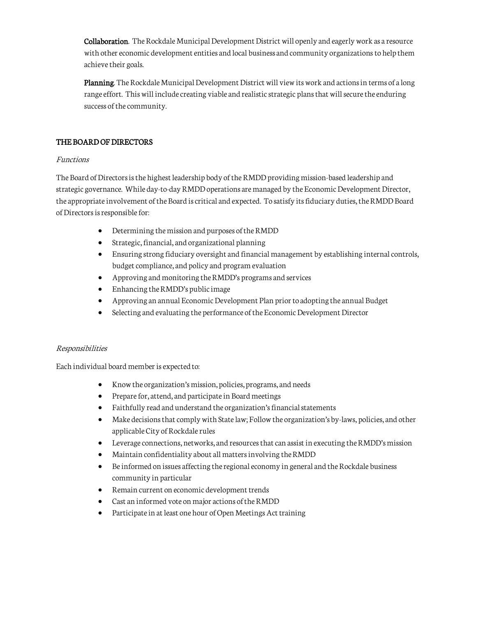Collaboration. The Rockdale Municipal Development District will openly and eagerly work as a resource with other economic development entities and local business and community organizations to help them achieve their goals.

Planning. The Rockdale Municipal Development District will view its work and actions in terms of a long range effort. This will include creating viable and realistic strategic plans that will secure the enduring success of the community.

## THE BOARD OF DIRECTORS

### Functions

The Board of Directors is the highest leadership body of the RMDD providing mission-based leadership and strategic governance. While day-to-day RMDD operations are managed by the Economic Development Director, the appropriate involvement of the Board is critical and expected. To satisfy its fiduciary duties, the RMDD Board of Directors is responsible for:

- Determining the mission and purposes of the RMDD
- Strategic, financial, and organizational planning
- Ensuring strong fiduciary oversight and financial management by establishing internal controls, budget compliance, and policy and program evaluation
- Approving and monitoring the RMDD's programs and services
- Enhancing the RMDD's public image
- Approving an annual Economic Development Plan prior to adopting the annual Budget
- Selecting and evaluating the performance of the Economic Development Director

# Responsibilities

Each individual board member is expected to:

- Know the organization's mission, policies, programs, and needs
- Prepare for, attend, and participate in Board meetings
- Faithfully read and understand the organization's financial statements
- Make decisions that comply with State law; Follow the organization's by-laws, policies, and other applicable City of Rockdale rules
- Leverage connections, networks, and resources that can assist in executing the RMDD's mission
- Maintain confidentiality about all matters involving the RMDD
- Be informed on issues affecting the regional economy in general and the Rockdale business community in particular
- Remain current on economic development trends
- Cast an informed vote on major actions of the RMDD
- Participate in at least one hour of Open Meetings Act training